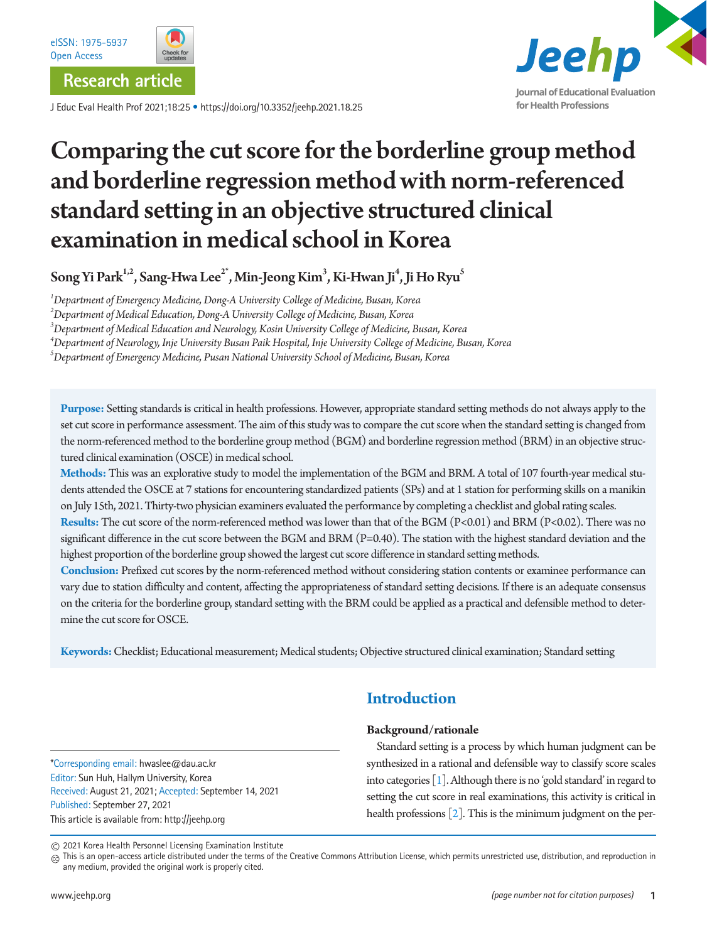

J Educ Eval Health Prof 2021;18:25 • https://doi.org/10.3352/jeehp.2021.18.25



# Comparing the cut score for the borderline group method and borderline regression method with norm-referenced standard setting in an objective structured clinical examination in medical school in Korea

 $\operatorname{Song}\operatorname{Yi}$  Park $^{1,2}$ ,  $\operatorname{Sang-Hwa Lee}^{2^*}$ ,  $\operatorname{Min-Jeong}\operatorname{Kim}^3$ ,  $\operatorname{Ki-HwanJi}^4$ , Ji Ho Ryu $^5$ 

*1 Department of Emergency Medicine, Dong-A University College of Medicine, Busan, Korea*

*2 Department of Medical Education, Dong-A University College of Medicine, Busan, Korea*

*3 Department of Medical Education and Neurology, Kosin University College of Medicine, Busan, Korea*

*4 Department of Neurology, Inje University Busan Paik Hospital, Inje University College of Medicine, Busan, Korea*

*5 Department of Emergency Medicine, Pusan National University School of Medicine, Busan, Korea*

**Purpose:** Setting standards is critical in health professions. However, appropriate standard setting methods do not always apply to the set cut score in performance assessment. The aim of this study was to compare the cut score when the standard setting is changed from the norm-referenced method to the borderline group method (BGM) and borderline regression method (BRM) in an objective structured clinical examination (OSCE) in medical school.

**Methods:** This was an explorative study to model the implementation of the BGM and BRM. A total of 107 fourth-year medical students attended the OSCE at 7 stations for encountering standardized patients (SPs) and at 1 station for performing skills on a manikin on July 15th, 2021. Thirty-two physician examiners evaluated the performance by completing a checklist and global rating scales.

**Results:** The cut score of the norm-referenced method was lower than that of the BGM (P<0.01) and BRM (P<0.02). There was no significant difference in the cut score between the BGM and BRM (P=0.40). The station with the highest standard deviation and the highest proportion of the borderline group showed the largest cut score difference in standard setting methods.

**Conclusion:** Prefixed cut scores by the norm-referenced method without considering station contents or examinee performance can vary due to station difficulty and content, affecting the appropriateness of standard setting decisions. If there is an adequate consensus on the criteria for the borderline group, standard setting with the BRM could be applied as a practical and defensible method to determine the cut score for OSCE.

**Keywords:** Checklist; Educational measurement; Medical students; Objective structured clinical examination; Standard setting

\*Corresponding email: hwaslee@dau.ac.kr Editor: Sun Huh, Hallym University, Korea Received: August 21, 2021; Accepted: September 14, 2021 Published: September 27, 2021 This article is available from: http://jeehp.org

# **Introduction**

### **Background/rationale**

Standard setting is a process by which human judgment can be synthesized in a rational and defensible way to classify score scales into categories [\[1](#page-8-0)]. Although there is no 'gold standard' in regard to setting the cut score in real examinations, this activity is critical in health professions [\[2](#page-8-1)]. This is the minimum judgment on the per-

2021 Korea Health Personnel Licensing Examination Institute

 $_{\textcircled{c}}$  This is an open-access article distributed under the terms of the Creative Commons Attribution License, which permits unrestricted use, distribution, and reproduction in any medium, provided the original work is properly cited.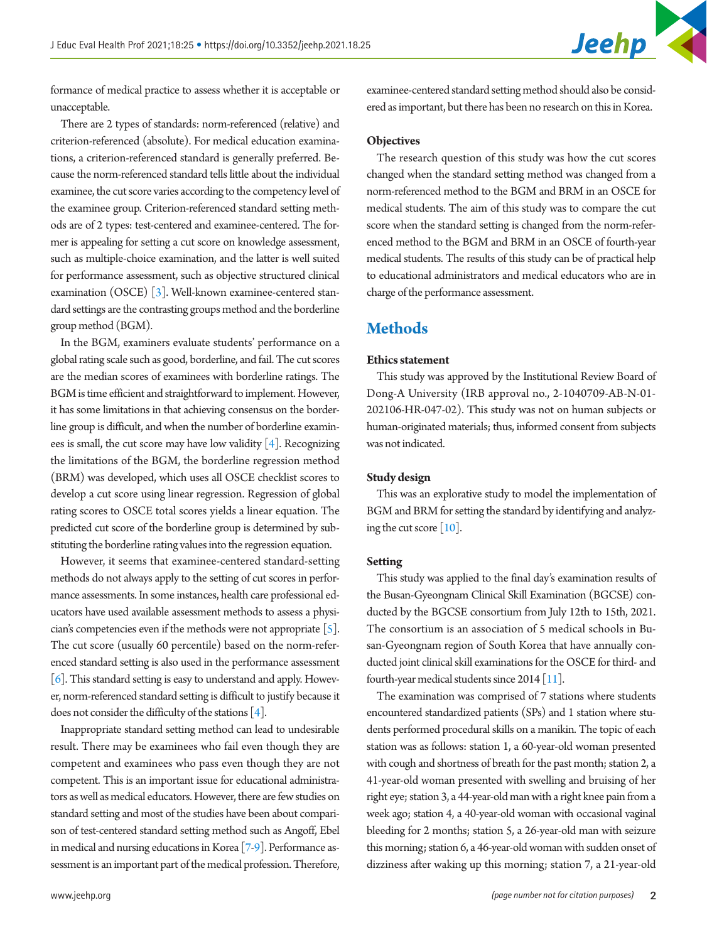formance of medical practice to assess whether it is acceptable or unacceptable.

There are 2 types of standards: norm-referenced (relative) and criterion-referenced (absolute). For medical education examinations, a criterion-referenced standard is generally preferred. Because the norm-referenced standard tells little about the individual examinee, the cut score varies according to the competency level of the examinee group. Criterion-referenced standard setting methods are of 2 types: test-centered and examinee-centered. The former is appealing for setting a cut score on knowledge assessment, such as multiple-choice examination, and the latter is well suited for performance assessment, such as objective structured clinical examination (OSCE) [\[3](#page-8-2)]. Well-known examinee-centered standard settings are the contrasting groups method and the borderline group method (BGM).

In the BGM, examiners evaluate students' performance on a global rating scale such as good, borderline, and fail. The cut scores are the median scores of examinees with borderline ratings. The BGM is time efficient and straightforward to implement. However, it has some limitations in that achieving consensus on the borderline group is difficult, and when the number of borderline examinees is small, the cut score may have low validity  $[4]$  $[4]$ . Recognizing the limitations of the BGM, the borderline regression method (BRM) was developed, which uses all OSCE checklist scores to develop a cut score using linear regression. Regression of global rating scores to OSCE total scores yields a linear equation. The predicted cut score of the borderline group is determined by substituting the borderline rating values into the regression equation.

However, it seems that examinee-centered standard-setting methods do not always apply to the setting of cut scores in performance assessments. In some instances, health care professional educators have used available assessment methods to assess a physician's competencies even if the methods were not appropriate  $\lceil 5 \rceil$ . The cut score (usually 60 percentile) based on the norm-referenced standard setting is also used in the performance assessment [\[6](#page-8-5)]. This standard setting is easy to understand and apply. However, norm-referenced standard setting is difficult to justify because it does not consider the difficulty of the stations  $[4]$  $[4]$ .

Inappropriate standard setting method can lead to undesirable result. There may be examinees who fail even though they are competent and examinees who pass even though they are not competent. This is an important issue for educational administrators as well as medical educators. However, there are few studies on standard setting and most of the studies have been about comparison of test-centered standard setting method such as Angoff, Ebel in medical and nursing educations in Korea [\[7](#page-8-6)[-9\]](#page-9-0). Performance assessment is an important part of the medical profession. Therefore,

examinee-centered standard setting method should also be considered as important, but there has been no research on this in Korea.

#### **Objectives**

The research question of this study was how the cut scores changed when the standard setting method was changed from a norm-referenced method to the BGM and BRM in an OSCE for medical students. The aim of this study was to compare the cut score when the standard setting is changed from the norm-referenced method to the BGM and BRM in an OSCE of fourth-year medical students. The results of this study can be of practical help to educational administrators and medical educators who are in charge of the performance assessment.

### **Methods**

### **Ethics statement**

This study was approved by the Institutional Review Board of Dong-A University (IRB approval no., 2-1040709-AB-N-01- 202106-HR-047-02). This study was not on human subjects or human-originated materials; thus, informed consent from subjects was not indicated.

### **Study design**

This was an explorative study to model the implementation of BGM and BRM for setting the standard by identifying and analyzing the cut score [\[10\]](#page-9-1).

#### **Setting**

This study was applied to the final day's examination results of the Busan-Gyeongnam Clinical Skill Examination (BGCSE) conducted by the BGCSE consortium from July 12th to 15th, 2021. The consortium is an association of 5 medical schools in Busan-Gyeongnam region of South Korea that have annually conducted joint clinical skill examinations for the OSCE for third- and fourth-year medical students since  $2014$  [ $11$ ].

The examination was comprised of 7 stations where students encountered standardized patients (SPs) and 1 station where students performed procedural skills on a manikin. The topic of each station was as follows: station 1, a 60-year-old woman presented with cough and shortness of breath for the past month; station 2, a 41-year-old woman presented with swelling and bruising of her right eye; station 3, a 44-year-old man with a right knee pain from a week ago; station 4, a 40-year-old woman with occasional vaginal bleeding for 2 months; station 5, a 26-year-old man with seizure this morning; station 6, a 46-year-old woman with sudden onset of dizziness after waking up this morning; station 7, a 21-year-old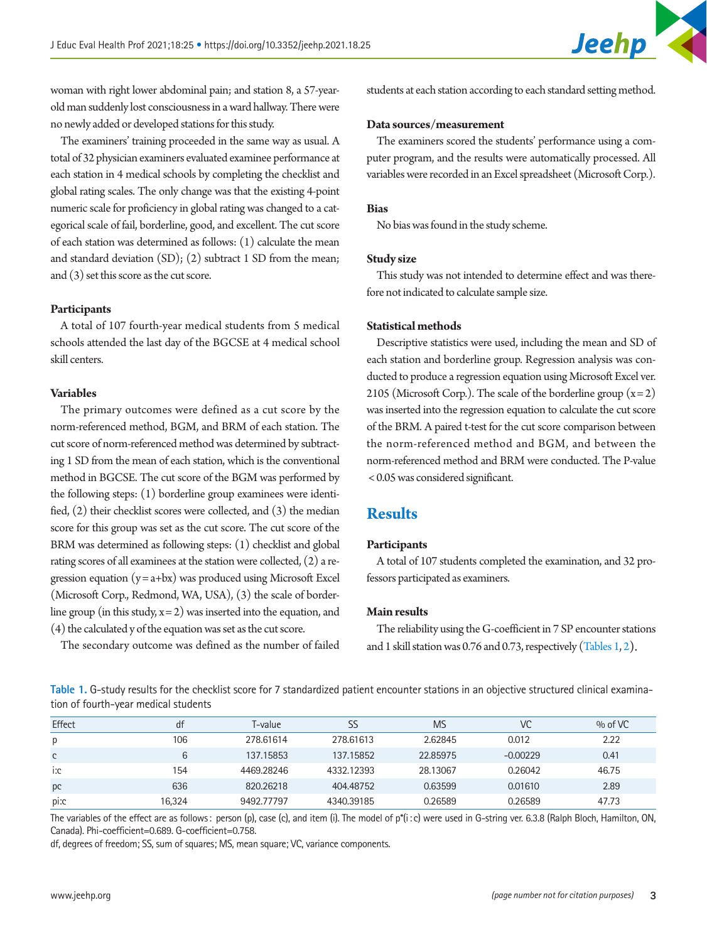woman with right lower abdominal pain; and station 8, a 57-yearold man suddenly lost consciousness in a ward hallway. There were no newly added or developed stations for this study.

The examiners' training proceeded in the same way as usual. A total of 32 physician examiners evaluated examinee performance at each station in 4 medical schools by completing the checklist and global rating scales. The only change was that the existing 4-point numeric scale for proficiency in global rating was changed to a categorical scale of fail, borderline, good, and excellent. The cut score of each station was determined as follows: (1) calculate the mean and standard deviation (SD); (2) subtract 1 SD from the mean; and (3) set this score as the cut score.

### **Participants**

A total of 107 fourth-year medical students from 5 medical schools attended the last day of the BGCSE at 4 medical school skill centers.

### **Variables**

The primary outcomes were defined as a cut score by the norm-referenced method, BGM, and BRM of each station. The cut score of norm-referenced method was determined by subtracting 1 SD from the mean of each station, which is the conventional method in BGCSE. The cut score of the BGM was performed by the following steps: (1) borderline group examinees were identified, (2) their checklist scores were collected, and (3) the median score for this group was set as the cut score. The cut score of the BRM was determined as following steps: (1) checklist and global rating scores of all examinees at the station were collected, (2) a regression equation  $(y = a + bx)$  was produced using Microsoft Excel (Microsoft Corp., Redmond, WA, USA), (3) the scale of borderline group (in this study,  $x = 2$ ) was inserted into the equation, and (4) the calculated y of the equation was set as the cut score.

The secondary outcome was defined as the number of failed

students at each station according to each standard setting method.

#### **Data sources/measurement**

The examiners scored the students' performance using a computer program, and the results were automatically processed. All variables were recorded in an Excel spreadsheet (Microsoft Corp.).

### **Bias**

No bias was found in the study scheme.

### **Study size**

This study was not intended to determine effect and was therefore not indicated to calculate sample size.

#### **Statistical methods**

Descriptive statistics were used, including the mean and SD of each station and borderline group. Regression analysis was conducted to produce a regression equation using Microsoft Excel ver. 2105 (Microsoft Corp.). The scale of the borderline group  $(x=2)$ was inserted into the regression equation to calculate the cut score of the BRM. A paired t-test for the cut score comparison between the norm-referenced method and BGM, and between the norm-referenced method and BRM were conducted. The P-value < 0.05 was considered significant.

### **Results**

#### **Participants**

A total of 107 students completed the examination, and 32 professors participated as examiners.

### **Main results**

The reliability using the G-coefficient in 7 SP encounter stations and 1 skill station was 0.76 and 0.73, respectively [\(Tables 1,](#page-2-0) [2](#page-3-0)).

<span id="page-2-0"></span>**Table 1.** G-study results for the checklist score for 7 standardized patient encounter stations in an objective structured clinical examination of fourth-year medical students

| Effect | df     | T-value    |            | <b>MS</b> | VC         | $%$ of VC |
|--------|--------|------------|------------|-----------|------------|-----------|
| р      | 106    | 278.61614  | 278.61613  | 2.62845   | 0.012      | 2.22      |
| C      | 6      | 137.15853  | 137.15852  | 22.85975  | $-0.00229$ | 0.41      |
| i:c    | 154    | 4469.28246 | 4332.12393 | 28.13067  | 0.26042    | 46.75     |
| pc     | 636    | 820.26218  | 404.48752  | 0.63599   | 0.01610    | 2.89      |
| pi:c   | 16.324 | 9492.77797 | 4340.39185 | 0.26589   | 0.26589    | 47.73     |

The variables of the effect are as follows: person (p), case (c), and item (i). The model of p\*(i:c) were used in G-string ver. 6.3.8 (Ralph Bloch, Hamilton, ON, Canada). Phi-coefficient=0.689. G-coefficient=0.758.

df, degrees of freedom; SS, sum of squares; MS, mean square; VC, variance components.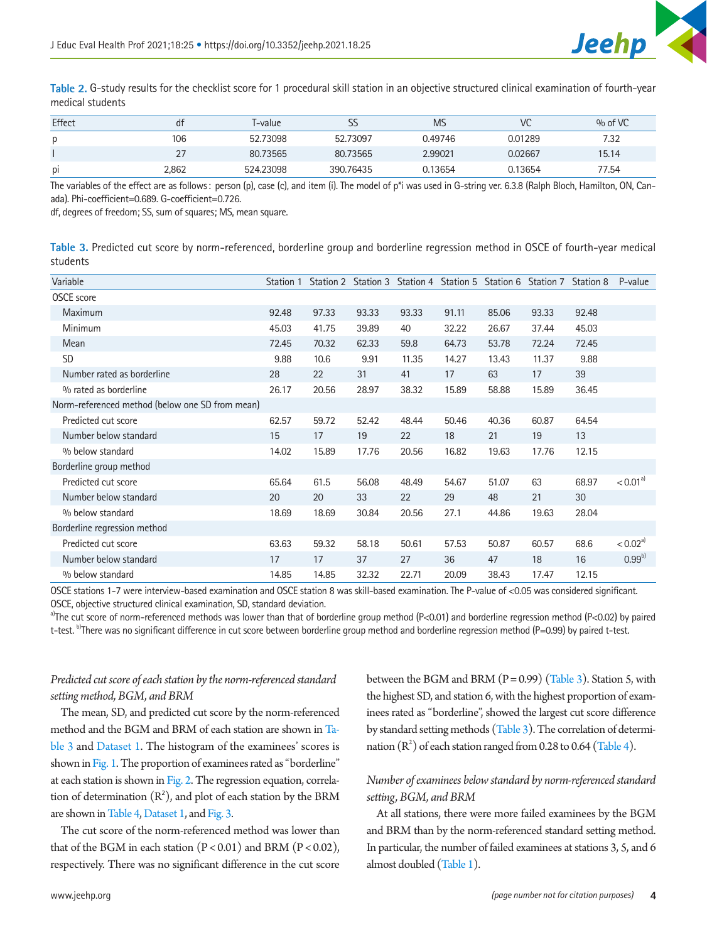

<span id="page-3-0"></span>**Table 2.** G-study results for the checklist score for 1 procedural skill station in an objective structured clinical examination of fourth-year medical students

| Effect         | d٢    | T-value   | 22        | MS      | VC      | $\%$ of VC |
|----------------|-------|-----------|-----------|---------|---------|------------|
| Ŋ              | 106   | 52.73098  | 52.73097  | 0.49746 | 0.01289 | 7.32       |
|                | 27    | 80.73565  | 80.73565  | 2.99021 | 0.02667 | 15.14      |
| D <sub>1</sub> | 2.862 | 524.23098 | 390.76435 | 0.13654 | 0.13654 | 77.54      |

The variables of the effect are as follows: person (p), case (c), and item (i). The model of p\*i was used in G-string ver. 6.3.8 (Ralph Bloch, Hamilton, ON, Canada). Phi-coefficient=0.689. G-coefficient=0.726.

df, degrees of freedom; SS, sum of squares; MS, mean square.

<span id="page-3-1"></span>**Table 3.** Predicted cut score by norm-referenced, borderline group and borderline regression method in OSCE of fourth-year medical students

| Variable                                        | Station 1 | Station 2 |       | Station 3 Station 4 Station 5 Station 6 Station 7 |       |       |       | Station 8 | P-value                |
|-------------------------------------------------|-----------|-----------|-------|---------------------------------------------------|-------|-------|-------|-----------|------------------------|
| <b>OSCE</b> score                               |           |           |       |                                                   |       |       |       |           |                        |
| <b>Maximum</b>                                  | 92.48     | 97.33     | 93.33 | 93.33                                             | 91.11 | 85.06 | 93.33 | 92.48     |                        |
| Minimum                                         | 45.03     | 41.75     | 39.89 | 40                                                | 32.22 | 26.67 | 37.44 | 45.03     |                        |
| Mean                                            | 72.45     | 70.32     | 62.33 | 59.8                                              | 64.73 | 53.78 | 72.24 | 72.45     |                        |
| <b>SD</b>                                       | 9.88      | 10.6      | 9.91  | 11.35                                             | 14.27 | 13.43 | 11.37 | 9.88      |                        |
| Number rated as borderline                      | 28        | 22        | 31    | 41                                                | 17    | 63    | 17    | 39        |                        |
| % rated as borderline                           | 26.17     | 20.56     | 28.97 | 38.32                                             | 15.89 | 58.88 | 15.89 | 36.45     |                        |
| Norm-referenced method (below one SD from mean) |           |           |       |                                                   |       |       |       |           |                        |
| Predicted cut score                             | 62.57     | 59.72     | 52.42 | 48.44                                             | 50.46 | 40.36 | 60.87 | 64.54     |                        |
| Number below standard                           | 15        | 17        | 19    | 22                                                | 18    | 21    | 19    | 13        |                        |
| % below standard                                | 14.02     | 15.89     | 17.76 | 20.56                                             | 16.82 | 19.63 | 17.76 | 12.15     |                        |
| Borderline group method                         |           |           |       |                                                   |       |       |       |           |                        |
| Predicted cut score                             | 65.64     | 61.5      | 56.08 | 48.49                                             | 54.67 | 51.07 | 63    | 68.97     | < 0.01 <sup>a</sup>    |
| Number below standard                           | 20        | 20        | 33    | 22                                                | 29    | 48    | 21    | 30        |                        |
| % below standard                                | 18.69     | 18.69     | 30.84 | 20.56                                             | 27.1  | 44.86 | 19.63 | 28.04     |                        |
| Borderline regression method                    |           |           |       |                                                   |       |       |       |           |                        |
| Predicted cut score                             | 63.63     | 59.32     | 58.18 | 50.61                                             | 57.53 | 50.87 | 60.57 | 68.6      | $< 0.02$ <sup>a)</sup> |
| Number below standard                           | 17        | 17        | 37    | 27                                                | 36    | 47    | 18    | 16        | $0.99^{6}$             |
| % below standard                                | 14.85     | 14.85     | 32.32 | 22.71                                             | 20.09 | 38.43 | 17.47 | 12.15     |                        |

OSCE stations 1-7 were interview-based examination and OSCE station 8 was skill-based examination. The P-value of <0.05 was considered significant. OSCE, objective structured clinical examination, SD, standard deviation.

a)The cut score of norm-referenced methods was lower than that of borderline group method (P<0.01) and borderline regression method (P<0.02) by paired t-test. <sup>b</sup>There was no significant difference in cut score between borderline group method and borderline regression method (P=0.99) by paired t-test.

### *Predicted cut score of each station by the norm-referenced standard setting method, BGM, and BRM*

The mean, SD, and predicted cut score by the norm-referenced method and the BGM and BRM of each station are shown in [Ta](#page-3-1)[ble 3](#page-3-1) and [Dataset 1](#page-8-7). The histogram of the examinees' scores is shown in [Fig. 1.](#page-4-0) The proportion of examinees rated as "borderline" at each station is shown in [Fig. 2.](#page-5-0) The regression equation, correlation of determination  $(R^2)$ , and plot of each station by the BRM are shown in [Table 4](#page-5-1), Dataset 1, and [Fig. 3.](#page-6-0)

The cut score of the norm-referenced method was lower than that of the BGM in each station  $(P < 0.01)$  and BRM  $(P < 0.02)$ , respectively. There was no significant difference in the cut score

between the BGM and BRM  $(P = 0.99)$  [\(Table 3\)](#page-3-1). Station 5, with the highest SD, and station 6, with the highest proportion of examinees rated as "borderline", showed the largest cut score difference by standard setting methods [\(Table 3](#page-3-1)). The correlation of determination  $(R^2)$  of each station ranged from 0.28 to 0.64 [\(Table 4](#page-5-1)).

### *Number of examinees below standard by norm-referenced standard setting, BGM, and BRM*

At all stations, there were more failed examinees by the BGM and BRM than by the norm-referenced standard setting method. In particular, the number of failed examinees at stations 3, 5, and 6 almost doubled [\(Table 1\)](#page-2-0).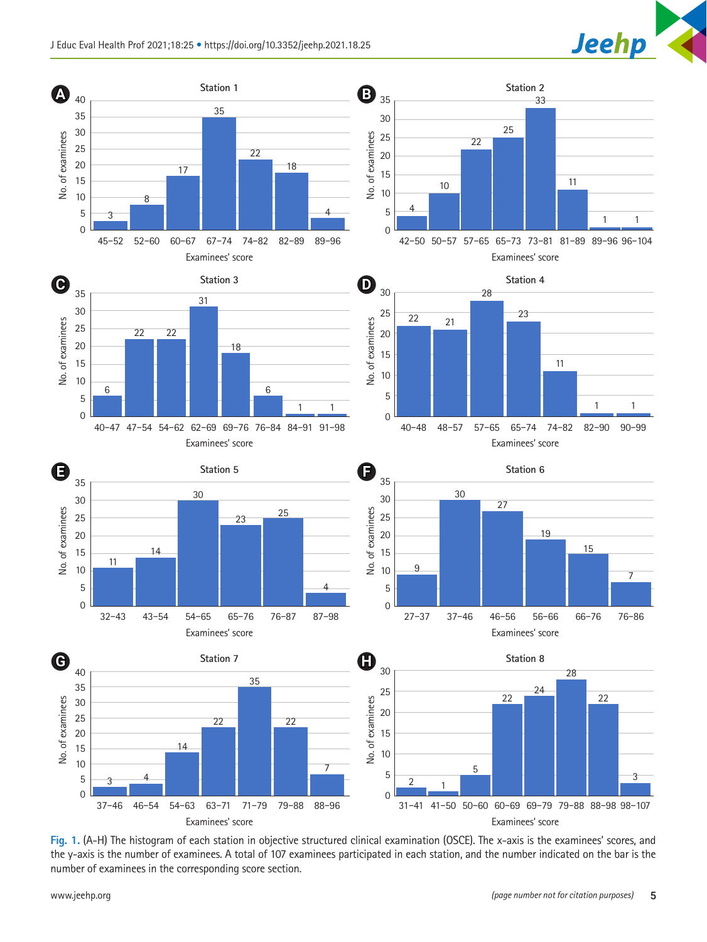<span id="page-4-0"></span>

**Fig. 1.** (A-H) The histogram of each station in objective structured clinical examination (OSCE). The x-axis is the examinees' scores, and the y-axis is the number of examinees. A total of 107 examinees participated in each station, and the number indicated on the bar is the number of examinees in the corresponding score section.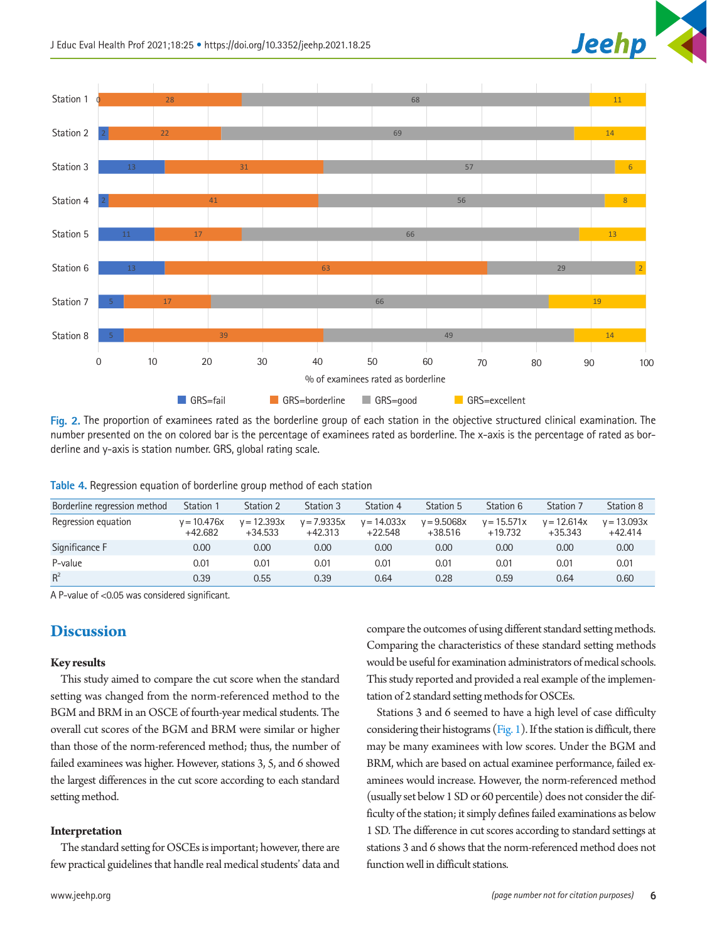<span id="page-5-0"></span>

**Fig. 2.** The proportion of examinees rated as the borderline group of each station in the objective structured clinical examination. The number presented on the on colored bar is the percentage of examinees rated as borderline. The x-axis is the percentage of rated as borderline and y-axis is station number. GRS, global rating scale.

<span id="page-5-1"></span>

| Borderline regression method | Station 1                  | Station 2                  | Station 3                  | Station 4                  | Station 5                  | Station 6                  | Station 7                  | Station 8                  |
|------------------------------|----------------------------|----------------------------|----------------------------|----------------------------|----------------------------|----------------------------|----------------------------|----------------------------|
| Regression equation          | $v = 10.476x$<br>$+42.682$ | $y = 12.393x$<br>$+34.533$ | $y = 7.9335x$<br>$+42.313$ | $v = 14.033x$<br>$+22.548$ | $v = 9.5068x$<br>$+38.516$ | $v = 15.571x$<br>$+19.732$ | $v = 12.614x$<br>$+35.343$ | $v = 13.093x$<br>$+42.414$ |
| Significance F               | 0.00                       | 0.00                       | 0.00                       | 0.00                       | 0.00                       | 0.00                       | 0.00                       | 0.00                       |
| P-value                      | 0.01                       | 0.01                       | 0.01                       | 0.01                       | 0.01                       | 0.01                       | 0.01                       | 0.01                       |
| $R^2$                        | 0.39                       | 0.55                       | 0.39                       | 0.64                       | 0.28                       | 0.59                       | 0.64                       | 0.60                       |

A P-value of <0.05 was considered significant.

### **Discussion**

### **Key results**

This study aimed to compare the cut score when the standard setting was changed from the norm-referenced method to the BGM and BRM in an OSCE of fourth-year medical students. The overall cut scores of the BGM and BRM were similar or higher than those of the norm-referenced method; thus, the number of failed examinees was higher. However, stations 3, 5, and 6 showed the largest differences in the cut score according to each standard setting method.

### **Interpretation**

The standard setting for OSCEs is important; however, there are few practical guidelines that handle real medical students' data and

compare the outcomes of using different standard setting methods. Comparing the characteristics of these standard setting methods would be useful for examination administrators of medical schools. This study reported and provided a real example of the implementation of 2 standard setting methods for OSCEs.

Stations 3 and 6 seemed to have a high level of case difficulty considering their histograms  $(Fig. 1)$ . If the station is difficult, there may be many examinees with low scores. Under the BGM and BRM, which are based on actual examinee performance, failed examinees would increase. However, the norm-referenced method (usually set below 1 SD or 60 percentile) does not consider the difficulty of the station; it simply defines failed examinations as below 1 SD. The difference in cut scores according to standard settings at stations 3 and 6 shows that the norm-referenced method does not function well in difficult stations.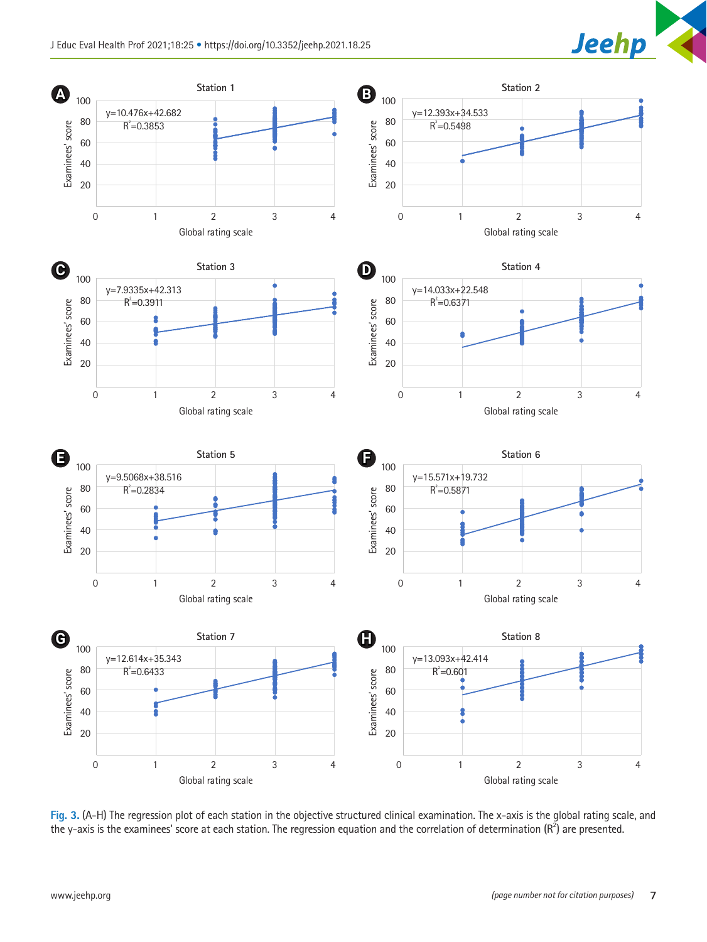

<span id="page-6-0"></span>

**Fig. 3.** (A-H) The regression plot of each station in the objective structured clinical examination. The x-axis is the global rating scale, and the y-axis is the examinees' score at each station. The regression equation and the correlation of determination ( $R^2$ ) are presented.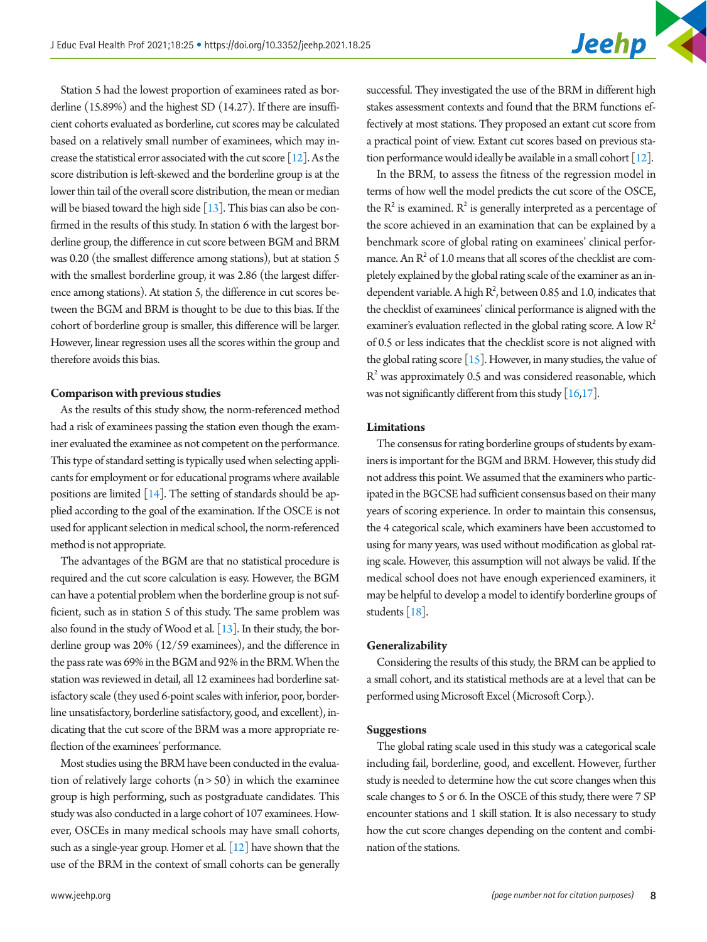Station 5 had the lowest proportion of examinees rated as borderline (15.89%) and the highest SD (14.27). If there are insufficient cohorts evaluated as borderline, cut scores may be calculated based on a relatively small number of examinees, which may increase the statistical error associated with the cut score [\[12](#page-9-0)]. As the score distribution is left-skewed and the borderline group is at the lower thin tail of the overall score distribution, the mean or median will be biased toward the high side  $[13]$ . This bias can also be confirmed in the results of this study. In station 6 with the largest borderline group, the difference in cut score between BGM and BRM was 0.20 (the smallest difference among stations), but at station 5 with the smallest borderline group, it was 2.86 (the largest difference among stations). At station 5, the difference in cut scores between the BGM and BRM is thought to be due to this bias. If the cohort of borderline group is smaller, this difference will be larger. However, linear regression uses all the scores within the group and therefore avoids this bias.

### **Comparison with previous studies**

As the results of this study show, the norm-referenced method had a risk of examinees passing the station even though the examiner evaluated the examinee as not competent on the performance. This type of standard setting is typically used when selecting applicants for employment or for educational programs where available positions are limited [\[14](#page-9-3)]. The setting of standards should be applied according to the goal of the examination. If the OSCE is not used for applicant selection in medical school, the norm-referenced method is not appropriate.

The advantages of the BGM are that no statistical procedure is required and the cut score calculation is easy. However, the BGM can have a potential problem when the borderline group is not sufficient, such as in station 5 of this study. The same problem was also found in the study of Wood et al.  $[13]$ . In their study, the borderline group was 20% (12/59 examinees), and the difference in the pass rate was 69% in the BGM and 92% in the BRM. When the station was reviewed in detail, all 12 examinees had borderline satisfactory scale (they used 6-point scales with inferior, poor, borderline unsatisfactory, borderline satisfactory, good, and excellent), indicating that the cut score of the BRM was a more appropriate reflection of the examinees' performance.

Most studies using the BRM have been conducted in the evaluation of relatively large cohorts  $(n > 50)$  in which the examinee group is high performing, such as postgraduate candidates. This study was also conducted in a large cohort of 107 examinees. However, OSCEs in many medical schools may have small cohorts, such as a single-year group. Homer et al. [12] have shown that the use of the BRM in the context of small cohorts can be generally successful. They investigated the use of the BRM in different high stakes assessment contexts and found that the BRM functions effectively at most stations. They proposed an extant cut score from a practical point of view. Extant cut scores based on previous station performance would ideally be available in a small cohort [12].

In the BRM, to assess the fitness of the regression model in terms of how well the model predicts the cut score of the OSCE, the  $R^2$  is examined.  $R^2$  is generally interpreted as a percentage of the score achieved in an examination that can be explained by a benchmark score of global rating on examinees' clinical performance. An  $R^2$  of 1.0 means that all scores of the checklist are completely explained by the global rating scale of the examiner as an independent variable. A high  $R^2$ , between 0.85 and 1.0, indicates that the checklist of examinees' clinical performance is aligned with the examiner's evaluation reflected in the global rating score. A low R<sup>2</sup> of 0.5 or less indicates that the checklist score is not aligned with the global rating score  $[15]$ . However, in many studies, the value of  $R^2$  was approximately 0.5 and was considered reasonable, which was not significantly different from this study  $[16,17]$  $[16,17]$ .

### **Limitations**

The consensus for rating borderline groups of students by examiners is important for the BGM and BRM. However, this study did not address this point. We assumed that the examiners who participated in the BGCSE had sufficient consensus based on their many years of scoring experience. In order to maintain this consensus, the 4 categorical scale, which examiners have been accustomed to using for many years, was used without modification as global rating scale. However, this assumption will not always be valid. If the medical school does not have enough experienced examiners, it may be helpful to develop a model to identify borderline groups of students [\[18](#page-9-7)].

#### **Generalizability**

Considering the results of this study, the BRM can be applied to a small cohort, and its statistical methods are at a level that can be performed using Microsoft Excel (Microsoft Corp.).

### **Suggestions**

The global rating scale used in this study was a categorical scale including fail, borderline, good, and excellent. However, further study is needed to determine how the cut score changes when this scale changes to 5 or 6. In the OSCE of this study, there were 7 SP encounter stations and 1 skill station. It is also necessary to study how the cut score changes depending on the content and combination of the stations.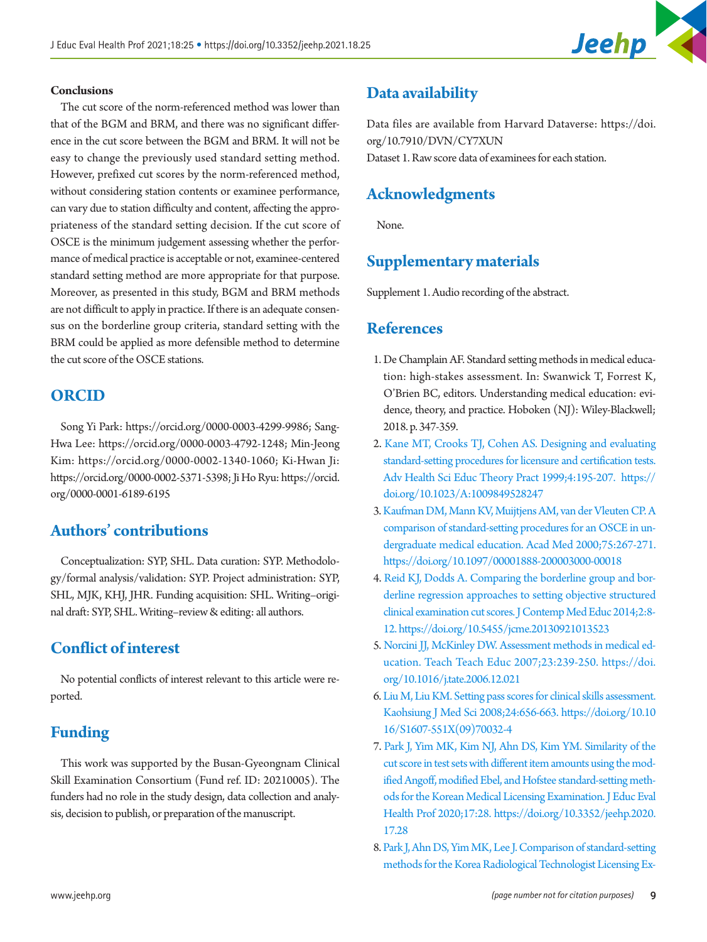

### **Conclusions**

The cut score of the norm-referenced method was lower than that of the BGM and BRM, and there was no significant difference in the cut score between the BGM and BRM. It will not be easy to change the previously used standard setting method. However, prefixed cut scores by the norm-referenced method, without considering station contents or examinee performance, can vary due to station difficulty and content, affecting the appropriateness of the standard setting decision. If the cut score of OSCE is the minimum judgement assessing whether the performance of medical practice is acceptable or not, examinee-centered standard setting method are more appropriate for that purpose. Moreover, as presented in this study, BGM and BRM methods are not difficult to apply in practice. If there is an adequate consensus on the borderline group criteria, standard setting with the BRM could be applied as more defensible method to determine the cut score of the OSCE stations.

### **ORCID**

Song Yi Park: [https://orcid.org/0000-0003-4299-99](http://orcid.org/0000-0003-4299-9986)86; Sang-Hwa Lee: [https://orcid.org/0000-0003-4792-1248](http://orcid.org/0000-0003-4792-1248); Min-Jeong Kim: [https://orcid.org/0000-0002-1340-1060](http://orcid.org/0000-0002-1340-1060); Ki-Hwan Ji: [https://orcid.org/0000-0002-5371-539](http://orcid.org/0000-0002-5371-5398)8; Ji Ho Ryu: [https://orcid.](http://orcid.org/0000-0001-6189-6195) [org/0000-0001-6189-619](http://orcid.org/0000-0001-6189-6195)5

# **Authors' contributions**

Conceptualization: SYP, SHL. Data curation: SYP. Methodology/formal analysis/validation: SYP. Project administration: SYP, SHL, MJK, KHJ, JHR. Funding acquisition: SHL. Writing–original draft: SYP, SHL. Writing–review & editing: all authors.

# **Conflict of interest**

No potential conflicts of interest relevant to this article were reported.

# **Funding**

This work was supported by the Busan-Gyeongnam Clinical Skill Examination Consortium (Fund ref. ID: 20210005). The funders had no role in the study design, data collection and analysis, decision to publish, or preparation of the manuscript.

# <span id="page-8-7"></span>**Data availability**

Data files are available from Harvard Dataverse: [https://doi.](https://doi.org/10.7910/DVN/CY7XUN) [org/10.7910/DVN/CY7XUN](https://doi.org/10.7910/DVN/CY7XUN) Dataset 1. Raw score data of examinees for each station.

# **Acknowledgments**

None.

# **Supplementary materials**

Supplement 1. Audio recording of the abstract.

### <span id="page-8-0"></span>**References**

- <span id="page-8-3"></span>1. De Champlain AF. Standard setting methods in medical education: high-stakes assessment. In: Swanwick T, Forrest K, O'Brien BC, editors. Understanding medical education: evidence, theory, and practice. Hoboken (NJ): Wiley-Blackwell; 2018. p. 347-359.
- <span id="page-8-1"></span>2. [Kane MT, Crooks TJ, Cohen AS. Designing and evaluating](https://doi.org/10.1023/A)  [standard-setting procedures for licensure and certification tests.](https://doi.org/10.1023/A)  [Adv Health Sci Educ Theory Pract 1999;4:195-207. https://](https://doi.org/10.1023/A) [doi.org/10.1023/A:1009849528247](https://doi.org/10.1023/A)
- <span id="page-8-2"></span>[3. Kaufman DM, Mann KV, Muijtjens AM, van der Vleuten CP. A](https://doi.org/10.1097/00001888-200003000-00018)  [comparison of standard-setting procedures for an OSCE in un](https://doi.org/10.1097/00001888-200003000-00018)[dergraduate medical education. Acad Med 2000;75:267-271.](https://doi.org/10.1097/00001888-200003000-00018)  <https://doi.org/10.1097/00001888-200003000-00018>
- 4. [Reid KJ, Dodds A. Comparing the borderline group and bor](https://doi.org/10.5455/jcme.20130921013523)[derline regression approaches to setting objective structured](https://doi.org/10.5455/jcme.20130921013523)  [clinical examination cut scores. J Contemp Med Educ 2014;2:8-](https://doi.org/10.5455/jcme.20130921013523) [12. https://doi.org/10.5455/jcme.20130921013523](https://doi.org/10.5455/jcme.20130921013523)
- <span id="page-8-4"></span>[5. Norcini JJ, McKinley DW. Assessment methods in medical ed](https://doi.org/10.1016/j.tate.2006.12.021)[ucation. Teach Teach Educ 2007;23:239-250. https://doi.](https://doi.org/10.1016/j.tate.2006.12.021) [org/10.1016/j.tate.2006.12.021](https://doi.org/10.1016/j.tate.2006.12.021)
- <span id="page-8-5"></span>[6. Liu M, Liu KM. Setting pass scores for clinical skills assessment.](https://doi.org/10.1016/S1607-551X(09)70032-4)  [Kaohsiung J Med Sci 2008;24:656-663. https://doi.org/10.10](https://doi.org/10.1016/S1607-551X(09)70032-4) [16/S1607-551X\(09\)70032-4](https://doi.org/10.1016/S1607-551X(09)70032-4)
- <span id="page-8-6"></span>[7. Park J, Yim MK, Kim NJ, Ahn DS, Kim YM. Similarity of the](https://doi.org/10.3352/jeehp.2020.17.28)  [cut score in test sets with different item amounts using the mod](https://doi.org/10.3352/jeehp.2020.17.28)[ified Angoff, modified Ebel, and Hofstee standard-setting meth](https://doi.org/10.3352/jeehp.2020.17.28)[ods for the Korean Medical Licensing Examination. J Educ Eval](https://doi.org/10.3352/jeehp.2020.17.28)  [Health Pro](https://doi.org/10.3352/jeehp.2020.17.28)f 2020;17:28. https://doi.org/10.3352/jeehp.2020. 17.28
- 8. [Park J, Ahn DS, Yim MK, Lee J. Comparison of standard-setting](https://doi.org/10.3352/jeehp.2018.15.32)  [methods for the Korea Radiological Technologist Licensing Ex-](https://doi.org/10.3352/jeehp.2018.15.32)